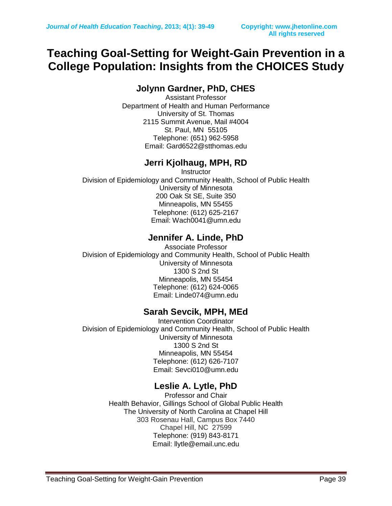## **Teaching Goal-Setting for Weight-Gain Prevention in a College Population: Insights from the CHOICES Study**

### **Jolynn Gardner, PhD, CHES**

Assistant Professor Department of Health and Human Performance University of St. Thomas 2115 Summit Avenue, Mail #4004 St. Paul, MN 55105 Telephone: (651) 962-5958 Email: Gard6522@stthomas.edu

## **Jerri Kjolhaug, MPH, RD**

**Instructor** Division of Epidemiology and Community Health, School of Public Health University of Minnesota 200 Oak St SE, Suite 350 Minneapolis, MN 55455 Telephone: (612) 625-2167 Email: [Wach0041@umn.edu](mailto:Wach0041@umn.edu)

### **Jennifer A. Linde, PhD**

Associate Professor Division of Epidemiology and Community Health, School of Public Health University of Minnesota 1300 S 2nd St Minneapolis, MN 55454 Telephone: (612) 624-0065 Email: Linde074@umn.edu

### **Sarah Sevcik, MPH, MEd**

Intervention Coordinator Division of Epidemiology and Community Health, School of Public Health University of Minnesota 1300 S 2nd St Minneapolis, MN 55454 Telephone: (612) 626-7107 Email: [Sevci010@umn.edu](mailto:Sevci010@umn.edu)

## **Leslie A. Lytle, PhD**

Professor and Chair Health Behavior, Gillings School of Global Public Health The University of North Carolina at Chapel Hill 303 Rosenau Hall, Campus Box 7440 Chapel Hill, NC 27599 Telephone: (919) 843-8171 Email: [llytle@email.unc.edu](mailto:llytle@email.unc.edu)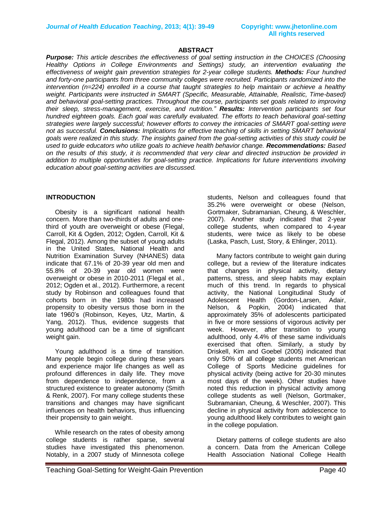## **All rights reserved**

#### **ABSTRACT**

*Purpose: This article describes the effectiveness of goal setting instruction in the CHOICES (Choosing Healthy Options in College Environments and Settings) study, an intervention evaluating the effectiveness of weight gain prevention strategies for 2-year college students. Methods: Four hundred and forty-one participants from three community colleges were recruited. Participants randomized into the intervention (n=224) enrolled in a course that taught strategies to help maintain or achieve a healthy weight. Participants were instructed in SMART (Specific, Measurable, Attainable, Realistic, Time-based) and behavioral goal-setting practices. Throughout the course, participants set goals related to improving their sleep, stress-management, exercise, and nutrition." Results: Intervention participants set four hundred eighteen goals. Each goal was carefully evaluated. The efforts to teach behavioral goal-setting strategies were largely successful; however efforts to convey the intricacies of SMART goal-setting were not as successful. Conclusions: Implications for effective teaching of skills in setting SMART behavioral goals were realized in this study. The insights gained from the goal-setting activities of this study could be used to guide educators who utilize goals to achieve health behavior change. Recommendations: Based on the results of this study, it is recommended that very clear and directed instruction be provided in addition to multiple opportunities for goal-setting practice. Implications for future interventions involving education about goal-setting activities are discussed.*

#### **INTRODUCTION**

 Obesity is a significant national health concern. More than two-thirds of adults and onethird of youth are overweight or obese (Flegal, Carroll, Kit & Ogden, 2012; Ogden, Carroll, Kit & Flegal, 2012). Among the subset of young adults in the United States, National Health and Nutrition Examination Survey (NHANES) data indicate that 67.1% of 20-39 year old men and 55.8% of 20-39 year old women were overweight or obese in 2010-2011 (Flegal et al., 2012; Ogden et al., 2012). Furthermore, a recent study by Robinson and colleagues found that cohorts born in the 1980s had increased propensity to obesity versus those born in the late 1960's (Robinson, Keyes, Utz, Martin, & Yang, 2012). Thus, evidence suggests that young adulthood can be a time of significant weight gain.

 Young adulthood is a time of transition. Many people begin college during these years and experience major life changes as well as profound differences in daily life. They move from dependence to independence, from a structured existence to greater autonomy (Smith & Renk, 2007). For many college students these transitions and changes may have significant influences on health behaviors, thus influencing their propensity to gain weight.

 While research on the rates of obesity among college students is rather sparse, several studies have investigated this phenomenon. Notably, in a 2007 study of Minnesota college

students, Nelson and colleagues found that 35.2% were overweight or obese (Nelson, Gortmaker, Subramanian, Cheung, & Weschler, 2007). Another study indicated that 2-year college students, when compared to 4-year students, were twice as likely to be obese (Laska, Pasch, Lust, Story, & Ehlinger, 2011).

 Many factors contribute to weight gain during college, but a review of the literature indicates that changes in physical activity, dietary patterns, stress, and sleep habits may explain much of this trend. In regards to physical activity, the National Longitudinal Study of Adolescent Health (Gordon-Larsen, Adair, Nelson, & Popkin, 2004) indicated that approximately 35% of adolescents participated in five or more sessions of vigorous activity per week. However, after transition to young adulthood, only 4.4% of these same individuals exercised that often. Similarly, a study by Driskell, Kim and Goebel (2005) indicated that only 50% of all college students met American College of Sports Medicine guidelines for physical activity (being active for 20-30 minutes most days of the week). Other studies have noted this reduction in physical activity among college students as well (Nelson, Gortmaker, Subramanian, Cheung, & Weschler, 2007). This decline in physical activity from adolescence to young adulthood likely contributes to weight gain in the college population.

 Dietary patterns of college students are also a concern. Data from the American College Health Association National College Health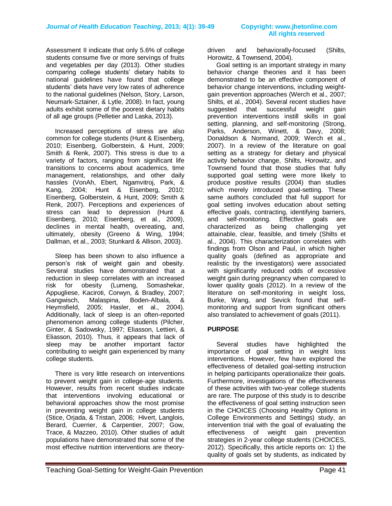Assessment II indicate that only 5.6% of college students consume five or more servings of fruits and vegetables per day (2013). Other studies comparing college students' dietary habits to national guidelines have found that college students' diets have very low rates of adherence to the national guidelines (Nelson, Story, Larson, Neumark-Sztainer, & Lytle, 2008). In fact, young adults exhibit some of the poorest dietary habits of all age groups (Pelletier and Laska, 2013).

 Increased perceptions of stress are also common for college students (Hunt & Eisenberg, 2010; Eisenberg, Golberstein, & Hunt, 2009; Smith & Renk, 2007). This stress is due to a variety of factors, ranging from significant life transitions to concerns about academics, time management, relationships, and other daily hassles (VonAh, Ebert, Ngamvitroj, Park, & Kang, 2004; Hunt & Eisenberg, 2010; Eisenberg, Golberstein, & Hunt, 2009; Smith & Renk, 2007). Perceptions and experiences of stress can lead to depression (Hunt & Eisenberg, 2010; Eisenberg, et al., 2009), declines in mental health, overeating, and, ultimately, obesity (Greeno & Wing, 1994; Dallman, et al., 2003; Stunkard & Allison, 2003).

 Sleep has been shown to also influence a person's risk of weight gain and obesity. Several studies have demonstrated that a reduction in sleep correlates with an increased risk for obesity (Lumeng, Somashekar, Appugliese, Kaciroti, Corwyn, & Bradley, 2007; Gangwisch, Malaspina, Boden-Albala, & Heymsfield, 2005; Hasler, et al., 2004). Additionally, lack of sleep is an often-reported phenomenon among college students (Pilcher, Ginter, & Sadowsky, 1997; Eliasson, Lettieri, & Eliasson, 2010). Thus, it appears that lack of sleep may be another important factor contributing to weight gain experienced by many college students.

 There is very little research on interventions to prevent weight gain in college-age students. However, results from recent studies indicate that interventions involving educational or behavioral approaches show the most promise in preventing weight gain in college students (Stice, Orjada, & Tristan, 2006; Hivert, Langlois, Berard, Cuerrier, & Carpentier, 2007; Gow, Trace, & Mazzeo, 2010). Other studies of adult populations have demonstrated that some of the most effective nutrition interventions are theorydriven and behaviorally-focused (Shilts, Horowitz, & Townsend, 2004).

 Goal setting is an important strategy in many behavior change theories and it has been demonstrated to be an effective component of behavior change interventions, including weightgain prevention approaches (Werch et al., 2007; Shilts, et al., 2004). Several recent studies have suggested that successful weight gain prevention interventions instill skills in goal setting, planning, and self-monitoring (Strong, Parks, Anderson, Winett, & Davy, 2008; Donaldson & Normand, 2009; Werch et al., 2007). In a review of the literature on goal setting as a strategy for dietary and physical activity behavior change, Shilts, Horowitz, and Townsend found that those studies that fully supported goal setting were more likely to produce positive results (2004) than studies which merely introduced goal-setting. These same authors concluded that full support for goal setting involves education about setting effective goals, contracting, identifying barriers, and self-monitoring. Effective goals are characterized as being challenging yet attainable, clear, feasible, and timely (Shilts et al., 2004). This characterization correlates with findings from Olson and Paul, in which higher quality goals (defined as appropriate and realistic by the investigators) were associated with significantly reduced odds of excessive weight gain during pregnancy when compared to lower quality goals (2012). In a review of the literature on self-monitoring in weight loss, Burke, Wang, and Sevick found that selfmonitoring and support from significant others also translated to achievement of goals (2011).

#### **PURPOSE**

Several studies have highlighted the importance of goal setting in weight loss interventions. However, few have explored the effectiveness of detailed goal-setting instruction in helping participants operationalize their goals. Furthermore, investigations of the effectiveness of these activities with two-year college students are rare. The purpose of this study is to describe the effectiveness of goal setting instruction seen in the CHOICES (Choosing Healthy Options in College Environments and Settings) study, an intervention trial with the goal of evaluating the effectiveness of weight gain prevention strategies in 2-year college students (CHOICES, 2012). Specifically, this article reports on: 1) the quality of goals set by students, as indicated by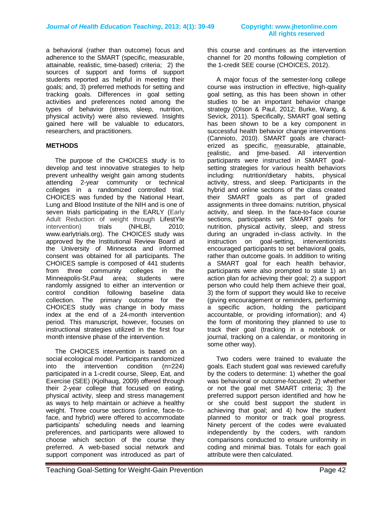a behavioral (rather than outcome) focus and adherence to the SMART (specific, measurable, attainable, realistic, time-based) criteria; 2) the sources of support and forms of support students reported as helpful in meeting their goals; and, 3) preferred methods for setting and tracking goals. Differences in goal setting activities and preferences noted among the types of behavior (stress, sleep, nutrition, physical activity) were also reviewed. Insights gained here will be valuable to educators, researchers, and practitioners.

#### **METHODS**

 The purpose of the CHOICES study is to develop and test innovative strategies to help prevent unhealthy weight gain among students attending 2-year community or technical colleges in a randomized controlled trial. CHOICES was funded by the National Heart, Lung and Blood Institute of the NIH and is one of seven trials participating in the EARLY (Early Adult Reduction of weight through LifestYle intervention) trials (NHLBI, 2010; www.earlytrials.org). The CHOICES study was approved by the Institutional Review Board at the University of Minnesota and informed consent was obtained for all participants. The CHOICES sample is composed of 441 students from three community colleges in the Minneapolis-St.Paul area; students were randomly assigned to either an intervention or control condition following baseline data collection. The primary outcome for the CHOICES study was change in body mass index at the end of a 24-month intervention period. This manuscript, however, focuses on instructional strategies utilized in the first four month intensive phase of the intervention.

 The CHOICES intervention is based on a social ecological model. Participants randomized into the intervention condition (n=224) participated in a 1-credit course, Sleep, Eat, and Exercise (SEE) (Kjolhaug, 2009) offered through their 2-year college that focused on eating, physical activity, sleep and stress management as ways to help maintain or achieve a healthy weight. Three course sections (online, face-toface, and hybrid) were offered to accommodate participants' scheduling needs and learning preferences, and participants were allowed to choose which section of the course they preferred. A web-based social network and support component was introduced as part of

this course and continues as the intervention channel for 20 months following completion of the 1-credit SEE course (CHOICES, 2012).

 A major focus of the semester-long college course was instruction in effective, high-quality goal setting, as this has been shown in other studies to be an important behavior change strategy (Olson & Paul, 2012; Burke, Wang, & Sevick, 2011). Specifically, SMART goal setting has been shown to be a key component in successful health behavior change interventions (Cannioto, 2010). SMART goals are characterized as specific, measurable, attainable, realistic, and time-based. All intervention participants were instructed in SMART goalsetting strategies for various health behaviors including: nutrition/dietary habits, physical activity, stress, and sleep. Participants in the hybrid and online sections of the class created their SMART goals as part of graded assignments in three domains: nutrition, physical activity, and sleep. In the face-to-face course sections, participants set SMART goals for nutrition, physical activity, sleep, and stress during an ungraded in-class activity. In the instruction on goal-setting, interventionists encouraged participants to set behavioral goals, rather than outcome goals. In addition to writing a SMART goal for each health behavior, participants were also prompted to state 1) an action plan for achieving their goal; 2) a support person who could help them achieve their goal, 3) the form of support they would like to receive (giving encouragement or reminders, performing a specific action, holding the participant accountable, or providing information); and 4) the form of monitoring they planned to use to track their goal (tracking in a notebook or journal, tracking on a calendar, or monitoring in some other way).

 Two coders were trained to evaluate the goals. Each student goal was reviewed carefully by the coders to determine: 1) whether the goal was behavioral or outcome-focused; 2) whether or not the goal met SMART criteria; 3) the preferred support person identified and how he or she could best support the student in achieving that goal; and 4) how the student planned to monitor or track goal progress. Ninety percent of the codes were evaluated independently by the coders, with random comparisons conducted to ensure uniformity in coding and minimal bias. Totals for each goal attribute were then calculated.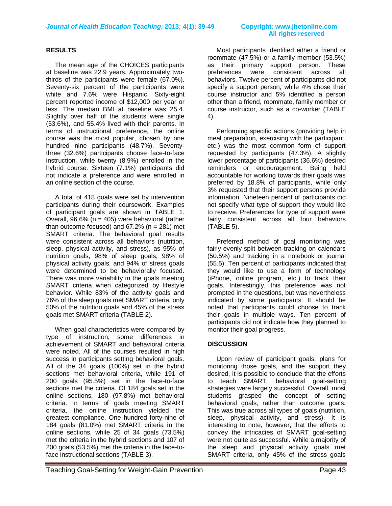# **All rights reserved**

#### **RESULTS**

The mean age of the CHOICES participants at baseline was 22.9 years. Approximately twothirds of the participants were female (67.0%). Seventy-six percent of the participants were white and 7.6% were Hispanic. Sixty-eight percent reported income of \$12,000 per year or less. The median BMI at baseline was 25.4. Slightly over half of the students were single (53.6%), and 55.4% lived with their parents. In terms of instructional preference, the online course was the most popular, chosen by one hundred nine participants (48.7%). Seventythree (32.6%) participants choose face-to-face instruction, while twenty (8.9%) enrolled in the hybrid course. Sixteen (7.1%) participants did not indicate a preference and were enrolled in an online section of the course.

A total of 418 goals were set by intervention participants during their coursework. Examples of participant goals are shown in TABLE 1. Overall,  $96.6\%$  (n = 405) were behavioral (rather than outcome-focused) and  $67.2\%$  (n = 281) met SMART criteria. The behavioral goal results were consistent across all behaviors (nutrition, sleep, physical activity, and stress), as 95% of nutrition goals, 98% of sleep goals, 98% of physical activity goals, and 94% of stress goals were determined to be behaviorally focused. There was more variability in the goals meeting SMART criteria when categorized by lifestyle behavior. While 83% of the activity goals and 76% of the sleep goals met SMART criteria, only 50% of the nutrition goals and 45% of the stress goals met SMART criteria (TABLE 2).

When goal characteristics were compared by type of instruction, some differences in achievement of SMART and behavioral criteria were noted. All of the courses resulted in high success in participants setting behavioral goals. All of the 34 goals (100%) set in the hybrid sections met behavioral criteria, while 191 of 200 goals (95.5%) set in the face-to-face sections met the criteria. Of 184 goals set in the online sections, 180 (97.8%) met behavioral criteria. In terms of goals meeting SMART criteria, the online instruction yielded the greatest compliance. One hundred forty-nine of 184 goals (81.0%) met SMART criteria in the online sections, while 25 of 34 goals (73.5%) met the criteria in the hybrid sections and 107 of 200 goals (53.5%) met the criteria in the face-toface instructional sections (TABLE 3).

 Most participants identified either a friend or roommate (47.5%) or a family member (53.5%) as their primary support person. These preferences were consistent across all behaviors. Twelve percent of participants did not specify a support person, while 4% chose their course instructor and 5% identified a person other than a friend, roommate, family member or course instructor, such as a co-worker (TABLE 4).

 Performing specific actions (providing help in meal preparation, exercising with the participant, etc.) was the most common form of support requested by participants (47.3%). A slightly lower percentage of participants (36.6%) desired reminders or encouragement. Being held accountable for working towards their goals was preferred by 18.8% of participants, while only 3% requested that their support persons provide information. Nineteen percent of participants did not specify what type of support they would like to receive. Preferences for type of support were fairly consistent across all four behaviors (TABLE 5).

 Preferred method of goal monitoring was fairly evenly split between tracking on calendars (50.5%) and tracking in a notebook or journal (55.5). Ten percent of participants indicated that they would like to use a form of technology (iPhone, online program, etc.) to track their goals. Interestingly, this preference was not prompted in the questions, but was nevertheless indicated by some participants. It should be noted that participants could choose to track their goals in multiple ways. Ten percent of participants did not indicate how they planned to monitor their goal progress.

#### **DISCUSSION**

Upon review of participant goals, plans for monitoring those goals, and the support they desired, it is possible to conclude that the efforts to teach SMART, behavioral goal-setting strategies were largely successful. Overall, most students grasped the concept of setting behavioral goals, rather than outcome goals. This was true across all types of goals (nutrition, sleep, physical activity, and stress). It is interesting to note, however, that the efforts to convey the intricacies of SMART goal-setting were not quite as successful. While a majority of the sleep and physical activity goals met SMART criteria, only 45% of the stress goals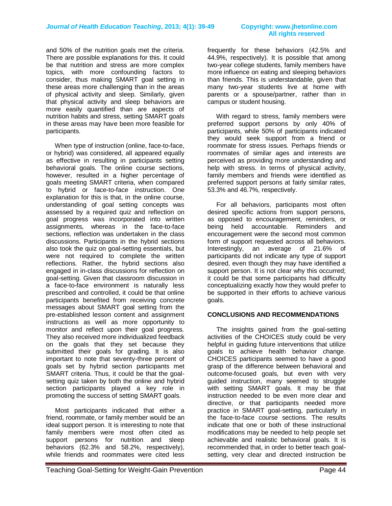and 50% of the nutrition goals met the criteria. There are possible explanations for this. It could be that nutrition and stress are more complex topics, with more confounding factors to consider, thus making SMART goal setting in these areas more challenging than in the areas of physical activity and sleep. Similarly, given that physical activity and sleep behaviors are more easily quantified than are aspects of nutrition habits and stress, setting SMART goals in these areas may have been more feasible for participants.

 When type of instruction (online, face-to-face, or hybrid) was considered, all appeared equally as effective in resulting in participants setting behavioral goals. The online course sections, however, resulted in a higher percentage of goals meeting SMART criteria, when compared to hybrid or face-to-face instruction. One explanation for this is that, in the online course, understanding of goal setting concepts was assessed by a required quiz and reflection on goal progress was incorporated into written assignments, whereas in the face-to-face sections, reflection was undertaken in the class discussions. Participants in the hybrid sections also took the quiz on goal-setting essentials, but were not required to complete the written reflections. Rather, the hybrid sections also engaged in in-class discussions for reflection on goal-setting. Given that classroom discussion in a face-to-face environment is naturally less prescribed and controlled, it could be that online participants benefited from receiving concrete messages about SMART goal setting from the pre-established lesson content and assignment instructions as well as more opportunity to monitor and reflect upon their goal progress. They also received more individualized feedback on the goals that they set because they submitted their goals for grading. It is also important to note that seventy-three percent of goals set by hybrid section participants met SMART criteria. Thus, it could be that the goalsetting quiz taken by both the online and hybrid section participants played a key role in promoting the success of setting SMART goals.

 Most participants indicated that either a friend, roommate, or family member would be an ideal support person. It is interesting to note that family members were most often cited as support persons for nutrition and sleep behaviors (62.3% and 58.2%, respectively), while friends and roommates were cited less

# **All rights reserved**

frequently for these behaviors (42.5% and 44.9%, respectively). It is possible that among two-year college students, family members have more influence on eating and sleeping behaviors than friends. This is understandable, given that many two-year students live at home with parents or a spouse/partner, rather than in campus or student housing.

 With regard to stress, family members were preferred support persons by only 40% of participants, while 50% of participants indicated they would seek support from a friend or roommate for stress issues. Perhaps friends or roommates of similar ages and interests are perceived as providing more understanding and help with stress. In terms of physical activity, family members and friends were identified as preferred support persons at fairly similar rates, 53.3% and 46.7%, respectively.

 For all behaviors, participants most often desired specific actions from support persons, as opposed to encouragement, reminders, or being held accountable. Reminders and encouragement were the second most common form of support requested across all behaviors. Interestingly, an average of 21.6% of participants did not indicate any type of support desired, even though they may have identified a support person. It is not clear why this occurred; it could be that some participants had difficulty conceptualizing exactly how they would prefer to be supported in their efforts to achieve various goals.

#### **CONCLUSIONS AND RECOMMENDATIONS**

The insights gained from the goal-setting activities of the CHOICES study could be very helpful in guiding future interventions that utilize goals to achieve health behavior change. CHOICES participants seemed to have a good grasp of the difference between behavioral and outcome-focused goals, but even with very guided instruction, many seemed to struggle with setting SMART goals. It may be that instruction needed to be even more clear and directive, or that participants needed more practice in SMART goal-setting, particularly in the face-to-face course sections. The results indicate that one or both of these instructional modifications may be needed to help people set achievable and realistic behavioral goals. It is recommended that, in order to better teach goalsetting, very clear and directed instruction be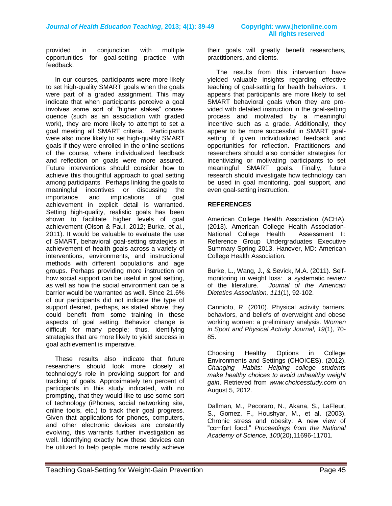provided in conjunction with multiple opportunities for goal-setting practice with feedback.

In our courses, participants were more likely to set high-quality SMART goals when the goals were part of a graded assignment. This may indicate that when participants perceive a goal involves some sort of "higher stakes" consequence (such as an association with graded work), they are more likely to attempt to set a goal meeting all SMART criteria. Participants were also more likely to set high-quality SMART goals if they were enrolled in the online sections of the course, where individualized feedback and reflection on goals were more assured. Future interventions should consider how to achieve this thoughtful approach to goal setting among participants. Perhaps linking the goals to meaningful incentives or discussing the importance and implications of goal achievement in explicit detail is warranted. Setting high-quality, realistic goals has been shown to facilitate higher levels of goal achievement (Olson & Paul, 2012; Burke, et al., 2011). It would be valuable to evaluate the use of SMART, behavioral goal-setting strategies in achievement of health goals across a variety of interventions, environments, and instructional methods with different populations and age groups. Perhaps providing more instruction on how social support can be useful in goal setting, as well as how the social environment can be a barrier would be warranted as well. Since 21.6% of our participants did not indicate the type of support desired, perhaps, as stated above, they could benefit from some training in these aspects of goal setting. Behavior change is difficult for many people; thus, identifying strategies that are more likely to yield success in goal achievement is imperative.

 These results also indicate that future researchers should look more closely at technology's role in providing support for and tracking of goals. Approximately ten percent of participants in this study indicated, with no prompting, that they would like to use some sort of technology (iPhones, social networking site, online tools, etc.) to track their goal progress. Given that applications for phones, computers, and other electronic devices are constantly evolving, this warrants further investigation as well. Identifying exactly how these devices can be utilized to help people more readily achieve

their goals will greatly benefit researchers, practitioners, and clients.

 The results from this intervention have yielded valuable insights regarding effective teaching of goal-setting for health behaviors. It appears that participants are more likely to set SMART behavioral goals when they are provided with detailed instruction in the goal-setting process and motivated by a meaningful incentive such as a grade. Additionally, they appear to be more successful in SMART goalsetting if given individualized feedback and opportunities for reflection. Practitioners and researchers should also consider strategies for incentivizing or motivating participants to set meaningful SMART goals. Finally, future research should investigate how technology can be used in goal monitoring, goal support, and even goal-setting instruction.

#### **REFERENCES**

American College Health Association (ACHA). (2013). American College Health Association-National College Health Assessment II: Reference Group Undergraduates Executive Summary Spring 2013. Hanover, MD: American College Health Association.

Burke, L., Wang, J., & Sevick, M.A. (2011). Selfmonitoring in weight loss: a systematic review of the literature. *Journal of the American Dietetics Association, 111*(1), 92-102.

Cannioto, R. (2010). Physical activity barriers, behaviors, and beliefs of overweight and obese working women: a preliminary analysis. *Women in Sport and Physical Activity Journal, 19*(1), 70- 85.

Choosing Healthy Options in College Environments and Settings (CHOICES). (2012). *Changing Habits: Helping college students make healthy choices to avoid unhealthy weight gain*. Retrieved from *[www.choicesstudy.com](http://www.choicesstudy.com/)* on August 5, 2012.

Dallman, M., Pecoraro, N., Akana, S., LaFleur, S., Gomez, F., Houshyar, M., et al. (2003). Chronic stress and obesity: A new view of "comfort food." *Proceedings from the National Academy of Science, 100*(20),11696-11701.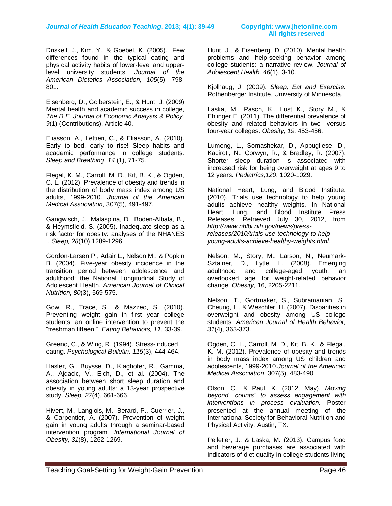Driskell, J., Kim, Y., & Goebel, K. (2005). Few differences found in the typical eating and physical activity habits of lower-level and upperlevel university students. *Journal of the American Dietetics Association, 105*(5), 798- 801.

Eisenberg, D., Golberstein, E., & Hunt, J. (2009) Mental health and academic success in college, *The B.E. Journal of Economic Analysis & Policy, 9*(1) (Contributions), Article 40.

Eliasson, A., Lettieri, C., & Eliasson, A. (2010). Early to bed, early to rise! Sleep habits and academic performance in college students. *Sleep and Breathing*, *14* (1), 71-75.

Flegal, K. M., Carroll, M. D., Kit, B. K., & Ogden, C. L. (2012). Prevalence of obesity and trends in the distribution of body mass index among US adults, 1999-2010. *Journal of the American Medical Association*, 307(5), 491-497.

Gangwisch, J., Malaspina, D., Boden-Albala, B., & Heymsfield, S. (2005). Inadequate sleep as a risk factor for obesity: analyses of the NHANES I. *Sleep, 28*(10),1289-1296.

Gordon-Larsen P., Adair L., Nelson M., & Popkin B. (2004). Five-year obesity incidence in the transition period between adolescence and adulthood: the National Longitudinal Study of Adolescent Health. *American Journal of Clinical Nutrition, 80*(3), 569-575.

Gow, R., Trace, S., & Mazzeo, S. (2010). Preventing weight gain in first year college students: an online intervention to prevent the "freshman fifteen." *Eating Behaviors, 11*, 33-39.

Greeno, C., & Wing, R. (1994). Stress-induced eating. *Psychological Bulletin, 115*(3), 444-464.

Hasler, G., Buysse, D., Klaghofer, R., Gamma, A., Ajdacic, V., Eich, D., et al. (2004). The association between short sleep duration and obesity in young adults: a 13-year prospective study. *Sleep, 27*(4), 661-666.

Hivert, M., Langlois, M., Berard, P., Cuerrier, J., & Carpentier, A. (2007). Prevention of weight gain in young adults through a seminar-based intervention program. *International Journal of Obesity, 31*(8), 1262-1269.

Hunt, J., & Eisenberg, D. (2010). Mental health problems and help-seeking behavior among college students: a narrative review. *Journal of Adolescent Health, 46*(1), 3-10.

Kjolhaug, J. (2009). *Sleep, Eat and Exercise.* Rothenberger Institute, University of Minnesota.

Laska, M., Pasch, K., Lust K., Story M., & Ehlinger E. (2011). The differential prevalence of obesity and related behaviors in two- versus four-year colleges. *Obesity, 19,* 453-456.

Lumeng, L., Somashekar, D., Appugliese, D., Kaciroti, N., Corwyn, R., & Bradley, R. (2007). Shorter sleep duration is associated with increased risk for being overweight at ages 9 to 12 years. *Pediatrics,120*, 1020-1029.

National Heart, Lung, and Blood Institute. (2010). Trials use technology to help young adults achieve healthy weights. In National Heart, Lung, and Blood Institute Press Releases. Retrieved July 30, 2012, from *http://www.nhlbi.nih.gov/news/pressreleases/2010/trials-use-technology-to-helpyoung-adults-achieve-healthy-weights.html.*

Nelson, M., Story, M., Larson, N., Neumark-Sztainer, D., Lytle, L. (2008). Emerging adulthood and college-aged youth: an overlooked age for weight-related behavior change. *Obesity*, 16, 2205-2211.

Nelson, T., Gortmaker, S., Subramanian, S., Cheung, L., & Weschler, H. (2007). Disparities in overweight and obesity among US college students*. American Journal of Health Behavior, 31*(4), 363-373.

Ogden, C. L., Carroll, M. D., Kit, B. K., & Flegal, K. M. (2012). Prevalence of obesity and trends in body mass index among US children and adolescents, 1999-2010.*Journal of the American Medical Association*, 307(5), 483-490.

Olson, C., & Paul, K. (2012, May). *Moving beyond "counts" to assess engagement with interventions in process evaluation.* Poster presented at the annual meeting of the International Society for Behavioral Nutrition and Physical Activity, Austin, TX.

Pelletier, J., & Laska, M. (2013). Campus food and beverage purchases are associated with indicators of diet quality in college students living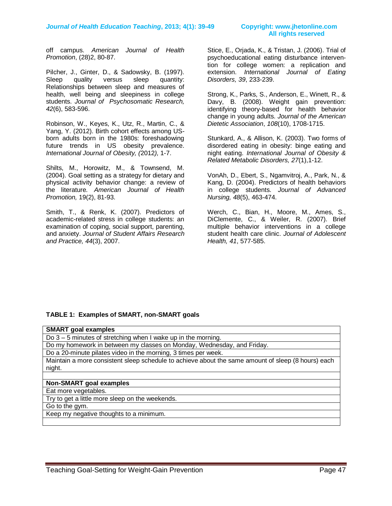# **All rights reserved**

off campus. *American Journal of Health Promotion*, (28)2, 80-87.

Pilcher, J., Ginter, D., & Sadowsky, B. (1997). Sleep quality versus sleep quantity: Relationships between sleep and measures of health, well being and sleepiness in college students. *Journal of Psychosomatic Research, 42*(6), 583-596.

Robinson, W., Keyes, K., Utz, R., Martin, C., & Yang, Y. (2012). Birth cohort effects among USborn adults born in the 1980s: foreshadowing future trends in US obesity prevalence. *International Journal of Obesity, (*2012*),* 1-7.

Shilts, M., Horowitz, M., & Townsend, M. (2004). Goal setting as a strategy for dietary and physical activity behavior change: a review of the literature*. American Journal of Health Promotion,* 19(2), 81-93.

Smith, T., & Renk, K. (2007). Predictors of academic-related stress in college students: an examination of coping, social support, parenting, and anxiety. *Journal of Student Affairs Research and Practice, 44*(3), 2007.

Stice, E., Orjada, K., & Tristan, J. (2006). Trial of psychoeducational eating disturbance intervention for college women: a replication and extension. *International Journal of Eating Disorders, 39*, 233-239.

Strong, K., Parks, S., Anderson, E., Winett, R., & Davy, B. (2008). Weight gain prevention: identifying theory-based for health behavior change in young adults. *Journal of the American Dietetic Association*, *108*(10), 1708-1715.

Stunkard, A., & Allison, K. (2003). Two forms of disordered eating in obesity: binge eating and night eating. *International Journal of Obesity & Related Metabolic Disorders, 27*(1),1-12.

VonAh, D., Ebert, S., Ngamvitroj, A., Park, N., & Kang, D. (2004). Predictors of health behaviors in college students. *Journal of Advanced Nursing, 48*(5), 463-474.

Werch, C., Bian, H., Moore, M., Ames, S., DiClemente, C., & Weiler, R. (2007). Brief multiple behavior interventions in a college student health care clinic. *Journal of Adolescent Health, 41*, 577-585.

#### **TABLE 1: Examples of SMART, non-SMART goals**

| <b>SMART</b> goal examples                                                                         |  |  |  |  |
|----------------------------------------------------------------------------------------------------|--|--|--|--|
| Do $3 - 5$ minutes of stretching when I wake up in the morning.                                    |  |  |  |  |
| Do my homework in between my classes on Monday, Wednesday, and Friday.                             |  |  |  |  |
| Do a 20-minute pilates video in the morning, 3 times per week.                                     |  |  |  |  |
| Maintain a more consistent sleep schedule to achieve about the same amount of sleep (8 hours) each |  |  |  |  |
| night.                                                                                             |  |  |  |  |
|                                                                                                    |  |  |  |  |
| Non-SMART goal examples                                                                            |  |  |  |  |
| Eat more vegetables.                                                                               |  |  |  |  |
| Try to get a little more sleep on the weekends.                                                    |  |  |  |  |
| Go to the gym.                                                                                     |  |  |  |  |
| Keep my negative thoughts to a minimum.                                                            |  |  |  |  |
|                                                                                                    |  |  |  |  |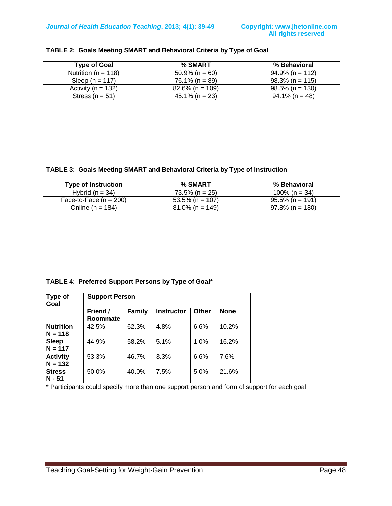| Tvpe of Goal            | % SMART            | % Behavioral       |
|-------------------------|--------------------|--------------------|
| Nutrition ( $n = 118$ ) | $50.9\%$ (n = 60)  | $94.9\%$ (n = 112) |
| Sleep $(n = 117)$       | $76.1\%$ (n = 89)  | $98.3\%$ (n = 115) |
| Activity ( $n = 132$ )  | $82.6\%$ (n = 109) | $98.5\%$ (n = 130) |
| Stress ( $n = 51$ )     | $45.1\%$ (n = 23)  | $94.1\%$ (n = 48)  |

#### **TABLE 2: Goals Meeting SMART and Behavioral Criteria by Type of Goal**

#### **TABLE 3: Goals Meeting SMART and Behavioral Criteria by Type of Instruction**

| <b>Type of Instruction</b> | % SMART            | % Behavioral       |
|----------------------------|--------------------|--------------------|
| Hybrid $(n = 34)$          | $73.5\%$ (n = 25)  | 100% (n = 34)      |
| Face-to-Face $(n = 200)$   | $53.5\%$ (n = 107) | $95.5\%$ (n = 191) |
| Online (n = 184)           | $81.0\%$ (n = 149) | $97.8\%$ (n = 180) |

**TABLE 4: Preferred Support Persons by Type of Goal\***

| Type of<br>Goal               | <b>Support Person</b> |               |                   |       |             |  |
|-------------------------------|-----------------------|---------------|-------------------|-------|-------------|--|
|                               | Friend /<br>Roommate  | <b>Family</b> | <b>Instructor</b> | Other | <b>None</b> |  |
| <b>Nutrition</b><br>$N = 118$ | 42.5%                 | 62.3%         | 4.8%              | 6.6%  | 10.2%       |  |
| <b>Sleep</b><br>$N = 117$     | 44.9%                 | 58.2%         | 5.1%              | 1.0%  | 16.2%       |  |
| <b>Activity</b><br>$N = 132$  | 53.3%                 | 46.7%         | 3.3%              | 6.6%  | 7.6%        |  |
| <b>Stress</b><br>N - 51       | 50.0%                 | 40.0%         | 7.5%              | 5.0%  | 21.6%       |  |

\* Participants could specify more than one support person and form of support for each goal